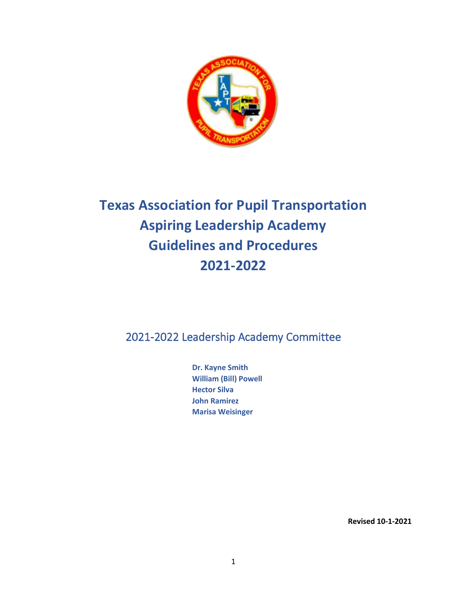

# **Texas Association for Pupil Transportation Aspiring Leadership Academy Guidelines and Procedures 2021-2022**

2021-2022 Leadership Academy Committee

**Dr. Kayne Smith William (Bill) Powell Hector Silva John Ramirez Marisa Weisinger** 

**Revised 10-1-2021**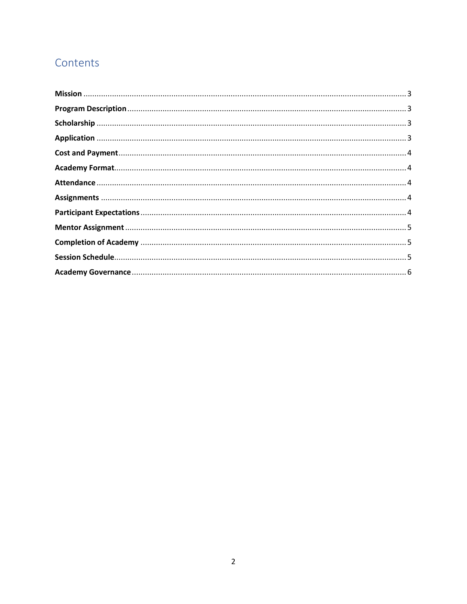# Contents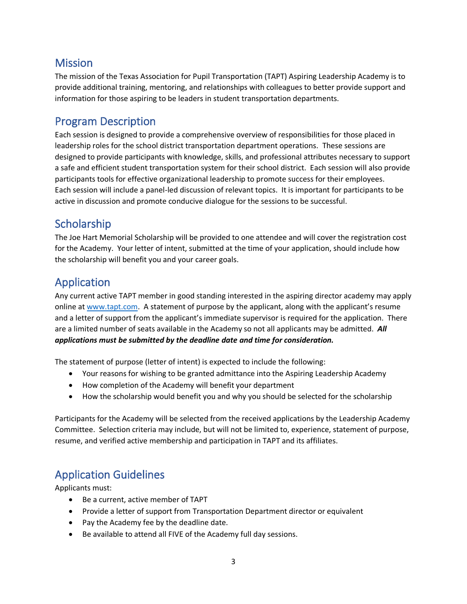# <span id="page-2-0"></span>**Mission**

The mission of the Texas Association for Pupil Transportation (TAPT) Aspiring Leadership Academy is to provide additional training, mentoring, and relationships with colleagues to better provide support and information for those aspiring to be leaders in student transportation departments.

### <span id="page-2-1"></span>Program Description

Each session is designed to provide a comprehensive overview of responsibilities for those placed in leadership roles for the school district transportation department operations. These sessions are designed to provide participants with knowledge, skills, and professional attributes necessary to support a safe and efficient student transportation system for their school district. Each session will also provide participants tools for effective organizational leadership to promote success for their employees. Each session will include a panel-led discussion of relevant topics. It is important for participants to be active in discussion and promote conducive dialogue for the sessions to be successful.

# <span id="page-2-2"></span>**Scholarship**

The Joe Hart Memorial Scholarship will be provided to one attendee and will cover the registration cost for the Academy. Your letter of intent, submitted at the time of your application, should include how the scholarship will benefit you and your career goals.

# <span id="page-2-3"></span>Application

Any current active TAPT member in good standing interested in the aspiring director academy may apply online at [www.tapt.com.](http://www.tapt.com/) A statement of purpose by the applicant, along with the applicant's resume and a letter of support from the applicant's immediate supervisor is required for the application. There are a limited number of seats available in the Academy so not all applicants may be admitted. *All applications must be submitted by the deadline date and time for consideration.*

The statement of purpose (letter of intent) is expected to include the following:

- Your reasons for wishing to be granted admittance into the Aspiring Leadership Academy
- How completion of the Academy will benefit your department
- How the scholarship would benefit you and why you should be selected for the scholarship

Participants for the Academy will be selected from the received applications by the Leadership Academy Committee. Selection criteria may include, but will not be limited to, experience, statement of purpose, resume, and verified active membership and participation in TAPT and its affiliates.

# Application Guidelines

Applicants must:

- Be a current, active member of TAPT
- Provide a letter of support from Transportation Department director or equivalent
- Pay the Academy fee by the deadline date.
- Be available to attend all FIVE of the Academy full day sessions.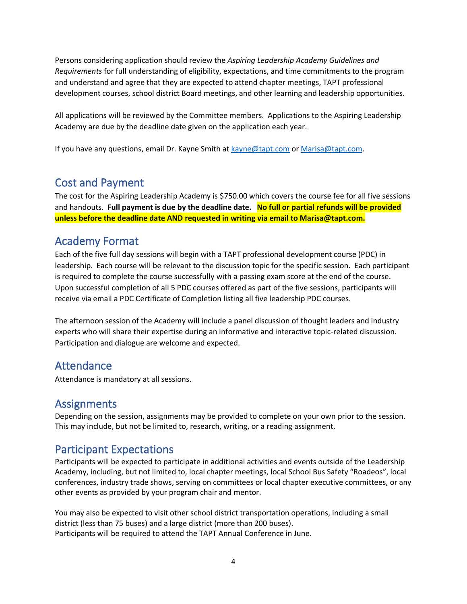Persons considering application should review the *Aspiring Leadership Academy Guidelines and Requirements* for full understanding of eligibility, expectations, and time commitments to the program and understand and agree that they are expected to attend chapter meetings, TAPT professional development courses, school district Board meetings, and other learning and leadership opportunities.

All applications will be reviewed by the Committee members. Applications to the Aspiring Leadership Academy are due by the deadline date given on the application each year.

If you have any questions, email Dr. Kayne Smith at [kayne@tapt.com](mailto:kayne@tapt.com) o[r Marisa@tapt.com.](mailto:Marisa@tapt.com)

### <span id="page-3-0"></span>Cost and Payment

The cost for the Aspiring Leadership Academy is \$750.00 which covers the course fee for all five sessions and handouts. **Full payment is due by the deadline date. No full or partial refunds will be provided unless before the deadline date AND requested in writing via email to Marisa@tapt.com.**

### <span id="page-3-1"></span>Academy Format

Each of the five full day sessions will begin with a TAPT professional development course (PDC) in leadership. Each course will be relevant to the discussion topic for the specific session. Each participant is required to complete the course successfully with a passing exam score at the end of the course. Upon successful completion of all 5 PDC courses offered as part of the five sessions, participants will receive via email a PDC Certificate of Completion listing all five leadership PDC courses.

The afternoon session of the Academy will include a panel discussion of thought leaders and industry experts who will share their expertise during an informative and interactive topic-related discussion. Participation and dialogue are welcome and expected.

### <span id="page-3-2"></span>Attendance

Attendance is mandatory at all sessions.

### <span id="page-3-3"></span>**Assignments**

Depending on the session, assignments may be provided to complete on your own prior to the session. This may include, but not be limited to, research, writing, or a reading assignment.

### <span id="page-3-4"></span>Participant Expectations

Participants will be expected to participate in additional activities and events outside of the Leadership Academy, including, but not limited to, local chapter meetings, local School Bus Safety "Roadeos", local conferences, industry trade shows, serving on committees or local chapter executive committees, or any other events as provided by your program chair and mentor.

You may also be expected to visit other school district transportation operations, including a small district (less than 75 buses) and a large district (more than 200 buses). Participants will be required to attend the TAPT Annual Conference in June.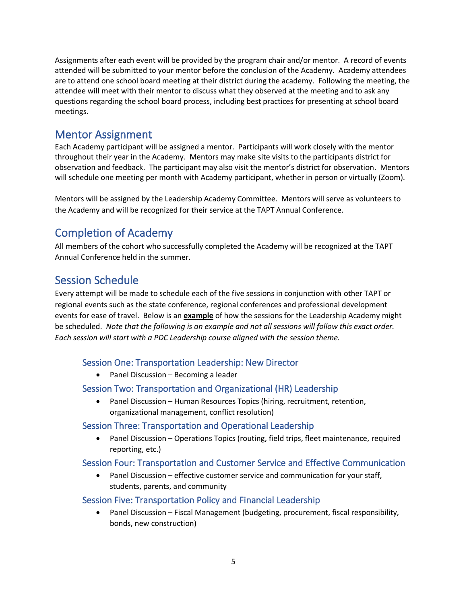Assignments after each event will be provided by the program chair and/or mentor. A record of events attended will be submitted to your mentor before the conclusion of the Academy. Academy attendees are to attend one school board meeting at their district during the academy. Following the meeting, the attendee will meet with their mentor to discuss what they observed at the meeting and to ask any questions regarding the school board process, including best practices for presenting at school board meetings.

### <span id="page-4-0"></span>Mentor Assignment

Each Academy participant will be assigned a mentor. Participants will work closely with the mentor throughout their year in the Academy. Mentors may make site visits to the participants district for observation and feedback. The participant may also visit the mentor's district for observation. Mentors will schedule one meeting per month with Academy participant, whether in person or virtually (Zoom).

Mentors will be assigned by the Leadership Academy Committee. Mentors will serve as volunteers to the Academy and will be recognized for their service at the TAPT Annual Conference.

# <span id="page-4-1"></span>Completion of Academy

All members of the cohort who successfully completed the Academy will be recognized at the TAPT Annual Conference held in the summer.

## <span id="page-4-2"></span>Session Schedule

Every attempt will be made to schedule each of the five sessions in conjunction with other TAPT or regional events such as the state conference, regional conferences and professional development events for ease of travel. Below is an **example** of how the sessions for the Leadership Academy might be scheduled. *Note that the following is an example and not all sessions will follow this exact order. Each session will start with a PDC Leadership course aligned with the session theme.*

#### Session One: Transportation Leadership: New Director

• Panel Discussion – Becoming a leader

#### Session Two: Transportation and Organizational (HR) Leadership

• Panel Discussion – Human Resources Topics (hiring, recruitment, retention, organizational management, conflict resolution)

#### Session Three: Transportation and Operational Leadership

• Panel Discussion – Operations Topics (routing, field trips, fleet maintenance, required reporting, etc.)

#### Session Four: Transportation and Customer Service and Effective Communication

Panel Discussion – effective customer service and communication for your staff, students, parents, and community

#### Session Five: Transportation Policy and Financial Leadership

• Panel Discussion – Fiscal Management (budgeting, procurement, fiscal responsibility, bonds, new construction)